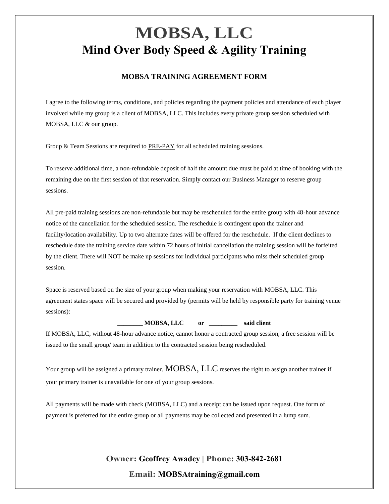### **MOBSA TRAINING AGREEMENT FORM**

I agree to the following terms, conditions, and policies regarding the payment policies and attendance of each player involved while my group is a client of MOBSA, LLC. This includes every private group session scheduled with MOBSA, LLC & our group.

Group & Team Sessions are required to PRE-PAY for all scheduled training sessions.

To reserve additional time, a non-refundable deposit of half the amount due must be paid at time of booking with the remaining due on the first session of that reservation. Simply contact our Business Manager to reserve group sessions.

All pre-paid training sessions are non-refundable but may be rescheduled for the entire group with 48-hour advance notice of the cancellation for the scheduled session. The reschedule is contingent upon the trainer and facility/location availability. Up to two alternate dates will be offered for the reschedule. If the client declines to reschedule date the training service date within 72 hours of initial cancellation the training session will be forfeited by the client. There will NOT be make up sessions for individual participants who miss their scheduled group session.

Space is reserved based on the size of your group when making your reservation with MOBSA, LLC. This agreement states space will be secured and provided by (permits will be held by responsible party for training venue sessions):

**\_\_\_\_\_\_\_\_ MOBSA, LLC or \_\_\_\_\_\_\_\_\_ said client**

If MOBSA, LLC, without 48-hour advance notice, cannot honor a contracted group session, a free session will be issued to the small group/ team in addition to the contracted session being rescheduled.

Your group will be assigned a primary trainer. MOBSA, LLC reserves the right to assign another trainer if your primary trainer is unavailable for one of your group sessions.

All payments will be made with check (MOBSA, LLC) and a receipt can be issued upon request. One form of payment is preferred for the entire group or all payments may be collected and presented in a lump sum.

> **Owner: Geoffrey Awadey | Phone: 303-842-2681 Email: MOBSAtraining@gmail.com**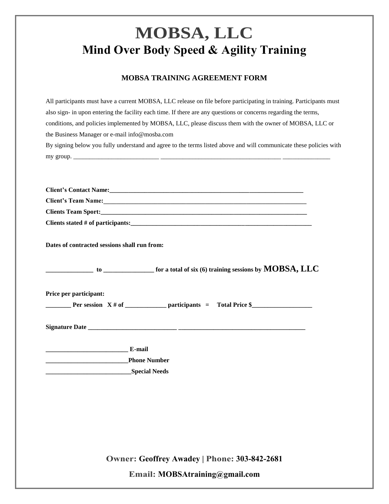### **MOBSA TRAINING AGREEMENT FORM**

| All participants must have a current MOBSA, LLC release on file before participating in training. Participants must                                                                                                            |
|--------------------------------------------------------------------------------------------------------------------------------------------------------------------------------------------------------------------------------|
| also sign- in upon entering the facility each time. If there are any questions or concerns regarding the terms,                                                                                                                |
| conditions, and policies implemented by MOBSA, LLC, please discuss them with the owner of MOBSA, LLC or                                                                                                                        |
| the Business Manager or e-mail info@mosba.com                                                                                                                                                                                  |
| By signing below you fully understand and agree to the terms listed above and will communicate these policies with                                                                                                             |
|                                                                                                                                                                                                                                |
|                                                                                                                                                                                                                                |
|                                                                                                                                                                                                                                |
| Client's Contact Name: Manual Contract of Alberta Contract of Alberta Contract of Alberta Contract of Alberta Contract of Alberta Contract of Alberta Contract of Alberta Contract of Alberta Contract of Alberta Contract of  |
| Client's Team Name: Manual Client of Team Name and Security of Team Name and Security of Team Name and Security of Team Name and Security of Team Name and Security of Team Name and Security of Team Name and Security of Tea |
|                                                                                                                                                                                                                                |
|                                                                                                                                                                                                                                |
| Dates of contracted sessions shall run from:                                                                                                                                                                                   |
| $\begin{array}{ c c c }\hline \end{array}$ to _______________ for a total of six (6) training sessions by $\mathbf{MOBSA, LLC}$                                                                                                |
| Price per participant:                                                                                                                                                                                                         |
|                                                                                                                                                                                                                                |
|                                                                                                                                                                                                                                |
| <b>E-mail</b>                                                                                                                                                                                                                  |
| <b>Phone Number</b>                                                                                                                                                                                                            |
|                                                                                                                                                                                                                                |
|                                                                                                                                                                                                                                |

**Owner: Geoffrey Awadey | Phone: 303-842-2681**

**Email: MOBSAtraining@gmail.com**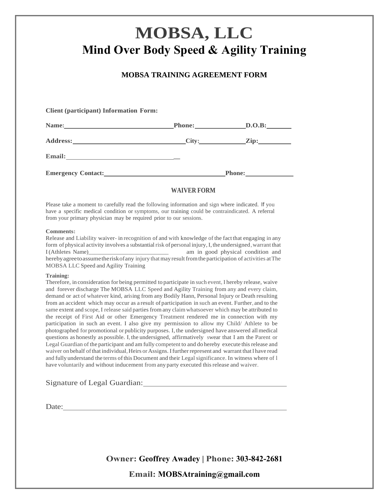### **MOBSA TRAINING AGREEMENT FORM**

**Client (participant) Information Form:**

| Name:                     | <b>Phone:</b> | D.O.B:          |  |
|---------------------------|---------------|-----------------|--|
| <b>Address:</b>           | City:         | $\mathbf{Zip:}$ |  |
| <b>Email:</b>             |               |                 |  |
| <b>Emergency Contact:</b> |               | <b>Phone:</b>   |  |

### **WAIVER FORM**

Please take a moment to carefully read the following information and sign where indicated. If you have a specific medical condition or symptoms, our training could be contraindicated. A referral from your primary physician may be required prior to our sessions.

#### **Comments:**

Release and Liability waiver- in recognition of and with knowledge of the fact that engaging in any form of physical activity involves a substantial risk of personal injury, I, the undersigned, warrant that I(Athletes Name)\_\_\_\_\_\_\_\_\_\_\_\_\_\_\_\_\_\_\_\_\_\_\_\_\_\_\_\_ am in good physical condition and hereby agreeto assume the risk of any injury that may result from the participation of activities at The MOBSA LLC Speed and Agility Training

#### **Training:**

Therefore, in consideration for being permitted to participate in such event, I hereby release, waive and forever discharge The MOBSA LLC Speed and Agility Training from any and every claim, demand or act of whatever kind, arising from any Bodily Hann, Personal Injury or Death resulting from an accident which may occur as a result of participation in such an event. Further, and to the same extent and scope, I release said parties from any claimwhatsoever which may be attributed to the receipt of First Aid or other Emergency Treatment rendered me in connection with my participation in such an event. I also give my permission to allow my Child/ Athlete to be photographed for promotional or publicity purposes. I, the undersigned have answered allmedical questions as honestly as possible. I,the undersigned, affirmatively swear that I am the Parent or Legal Guardian of the participant and am fully competent to and do hereby execute thisrelease and waiver on behalf of that individual, Heirs or Assigns. I further represent and warrant that I have read and fully understand the terms of this Document and their Legal significance. In witness where of l have voluntarily and without inducement from any party executed thisrelease and waiver.

#### Signature of Legal Guardian:

Date:

**Owner: Geoffrey Awadey | Phone: 303-842-2681**

**Email: MOBSAtraining@gmail.com**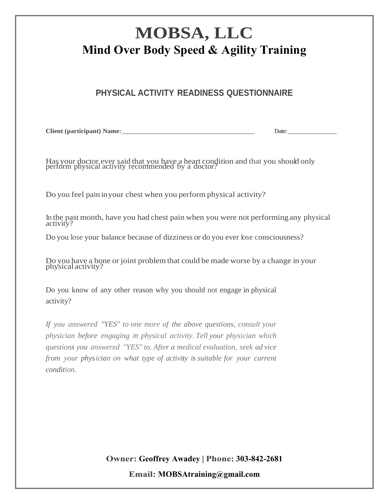## **PHYSICAL ACTIVITY READINESS QUESTIONNAIRE**

**Client** (participant) **Name:**  $\qquad \qquad$  **Date:**  $\qquad \qquad$  **Date:**  $\qquad \qquad$ 

Has your doctor ever said that you have a heart condition and that you should only perform physical activity recommended by a doctor?

Do you feel pain inyour chest when you perform physical activity?

In the past month, have you had chest pain when you were not performingany physical activity?

Do you lose your balance because of dizziness or do you ever lose consciousness?

Do you have a bone or joint problemthat could be made worse by a change in your physical activity?

Do you know of any other reason why you should not engage in physical activity?

*If you answered "YES" to one more of the above questions, consult your physician before engaging in physical activity. Tell your physician which questions you answered "YES" to. After a medical evaluation, seek ad vice from your physician on what type of activity is suitable for your current condition.*

> **Owner: Geoffrey Awadey | Phone: 303-842-2681 Email: MOBSAtraining@gmail.com**